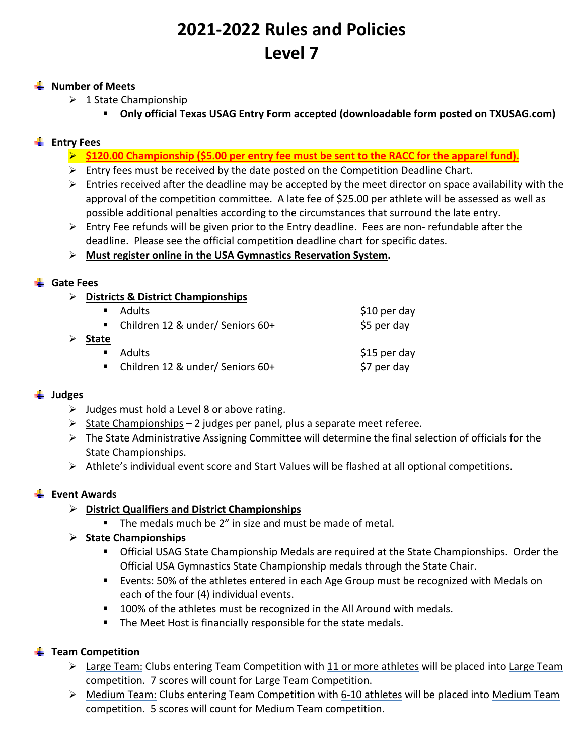# **2021‐2022 Rules and Policies Level 7**

#### **Number of Meets**

- $\geq 1$  State Championship
	- **Only official Texas USAG Entry Form accepted (downloadable form posted on TXUSAG.com)**

## **Entry Fees**

- **\$120.00 Championship (\$5.00 per entry fee must be sent to the RACC for the apparel fund).**
- $\triangleright$  Entry fees must be received by the date posted on the Competition Deadline Chart.
- $\triangleright$  Entries received after the deadline may be accepted by the meet director on space availability with the approval of the competition committee. A late fee of \$25.00 per athlete will be assessed as well as possible additional penalties according to the circumstances that surround the late entry.
- $\triangleright$  Entry Fee refunds will be given prior to the Entry deadline. Fees are non-refundable after the deadline. Please see the official competition deadline chart for specific dates.

#### **Must register online in the USA Gymnastics Reservation System.**

## **Gate Fees**

**Districts & District Championships** 

|                | $\blacksquare$ Adults              | $$10$ per day |
|----------------|------------------------------------|---------------|
|                | ■ Children 12 & under/ Seniors 60+ | \$5 per day   |
| <b>State</b>   |                                    |               |
| $\blacksquare$ | Adults                             | \$15 per day  |
|                | ■ Children 12 & under/ Seniors 60+ | \$7 per day   |

## **Judges**

- $\triangleright$  Judges must hold a Level 8 or above rating.
- $\triangleright$  State Championships 2 judges per panel, plus a separate meet referee.
- $\triangleright$  The State Administrative Assigning Committee will determine the final selection of officials for the State Championships.
- $\triangleright$  Athlete's individual event score and Start Values will be flashed at all optional competitions.

## **Event Awards**

- **District Qualifiers and District Championships** 
	- The medals much be 2" in size and must be made of metal.

## **State Championships**

- Official USAG State Championship Medals are required at the State Championships. Order the Official USA Gymnastics State Championship medals through the State Chair.
- Events: 50% of the athletes entered in each Age Group must be recognized with Medals on each of the four (4) individual events.
- **100% of the athletes must be recognized in the All Around with medals.**
- **The Meet Host is financially responsible for the state medals.**

## **Team Competition**

- > Large Team: Clubs entering Team Competition with 11 or more athletes will be placed into Large Team competition. 7 scores will count for Large Team Competition.
- Medium Team: Clubs entering Team Competition with 6‐10 athletes will be placed into Medium Team competition. 5 scores will count for Medium Team competition.